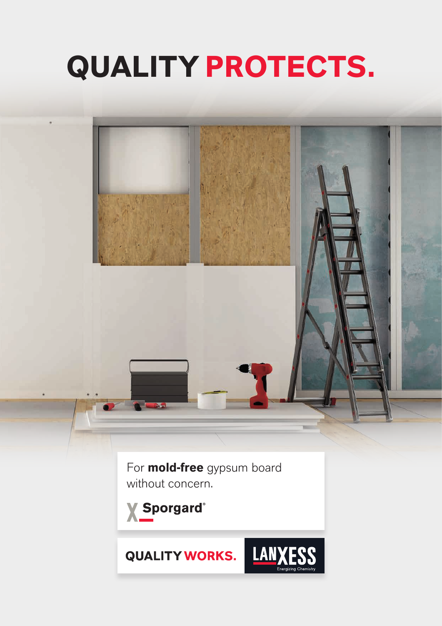# **QUALITY PROTECTS.**



For **mold-free** gypsum board without concern.

**X** Sporgard®

**QUALITY WORKS.** 

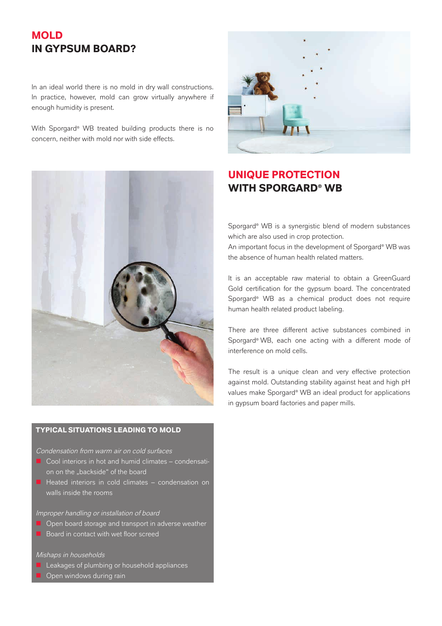# **MOLD IN GYPSUM BOARD?**

In an ideal world there is no mold in dry wall constructions. In practice, however, mold can grow virtually anywhere if enough humidity is present.

With Sporgard<sup>®</sup> WB treated building products there is no concern, neither with mold nor with side effects.



## **TYPICAL SITUATIONS LEADING TO MOLD**

Condensation from warm air on cold surfaces

- $\Box$  Cool interiors in hot and humid climates condensation on the "backside" of the board
- $\blacksquare$  Heated interiors in cold climates condensation on walls inside the rooms

## Improper handling or installation of board

- $\blacksquare$  Open board storage and transport in adverse weather
- $\blacksquare$  Board in contact with wet floor screed

## Mishaps in households

- $\blacksquare$  Leakages of plumbing or household appliances
- Open windows during rain



# **UNIQUE PROTECTION WITH SPORGARD® WB**

Sporgard® WB is a synergistic blend of modern substances which are also used in crop protection.

An important focus in the development of Sporgard® WB was the absence of human health related matters.

It is an acceptable raw material to obtain a GreenGuard Gold certification for the gypsum board. The concentrated Sporgard® WB as a chemical product does not require human health related product labeling.

There are three different active substances combined in Sporgard® WB, each one acting with a different mode of interference on mold cells.

The result is a unique clean and very effective protection against mold. Outstanding stability against heat and high pH values make Sporgard® WB an ideal product for applications in gypsum board factories and paper mills.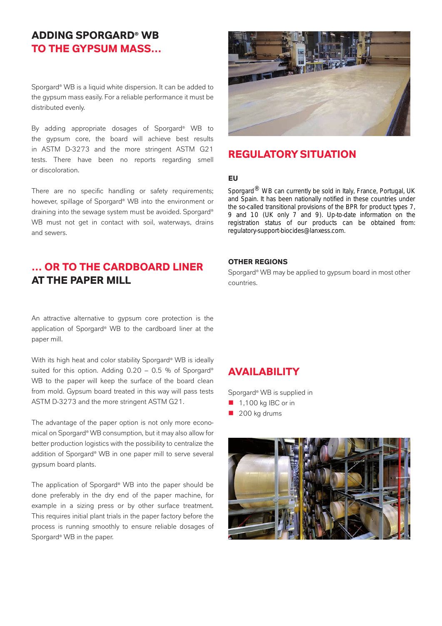# **ADDING SPORGARD® WB TO THE GYPSUM MASS…**

Sporgard® WB is a liquid white dispersion. It can be added to the gypsum mass easily. For a reliable performance it must be distributed evenly.

By adding appropriate dosages of Sporgard® WB to the gypsum core, the board will achieve best results in ASTM D-3273 and the more stringent ASTM G21 tests. There have been no reports regarding smell or discoloration.

There are no specific handling or safety requirements; however, spillage of Sporgard® WB into the environment or draining into the sewage system must be avoided. Sporgard® WB must not get in contact with soil, waterways, drains and sewers.

# **… OR TO THE CARDBOARD LINER AT THE PAPER MILL**

An attractive alternative to gypsum core protection is the application of Sporgard® WB to the cardboard liner at the paper mill.

With its high heat and color stability Sporgard® WB is ideally suited for this option. Adding  $0.20 - 0.5$  % of Sporgard® WB to the paper will keep the surface of the board clean from mold. Gypsum board treated in this way will pass tests ASTM D-3273 and the more stringent ASTM G21.

The advantage of the paper option is not only more economical on Sporgard® WB consumption, but it may also allow for better production logistics with the possibility to centralize the addition of Sporgard® WB in one paper mill to serve several gypsum board plants.

The application of Sporgard® WB into the paper should be done preferably in the dry end of the paper machine, for example in a sizing press or by other surface treatment. This requires initial plant trials in the paper factory before the process is running smoothly to ensure reliable dosages of Sporgard® WB in the paper.



## **REGULATORY SITUATION**

## **EU**

Sporgard<sup>®</sup> WB can currently be sold in Italy, France, Portugal, UK and Spain. It has been nationally notified in these countries under the so-called transitional provisions of the BPR for product types 7, refluction status of our products can be obtained from: regulatory-support-biocides@lanxess.com. 9 and 10 (UK only 7 and 9). Up-to-date information on the

## **OTHER REGIONS**

Sporgard® WB may be applied to gypsum board in most other countries.

## **AVAILABILITY**

Sporgard® WB is supplied in

- $\blacksquare$  1,100 kg IBC or in
- $\blacksquare$  200 kg drums